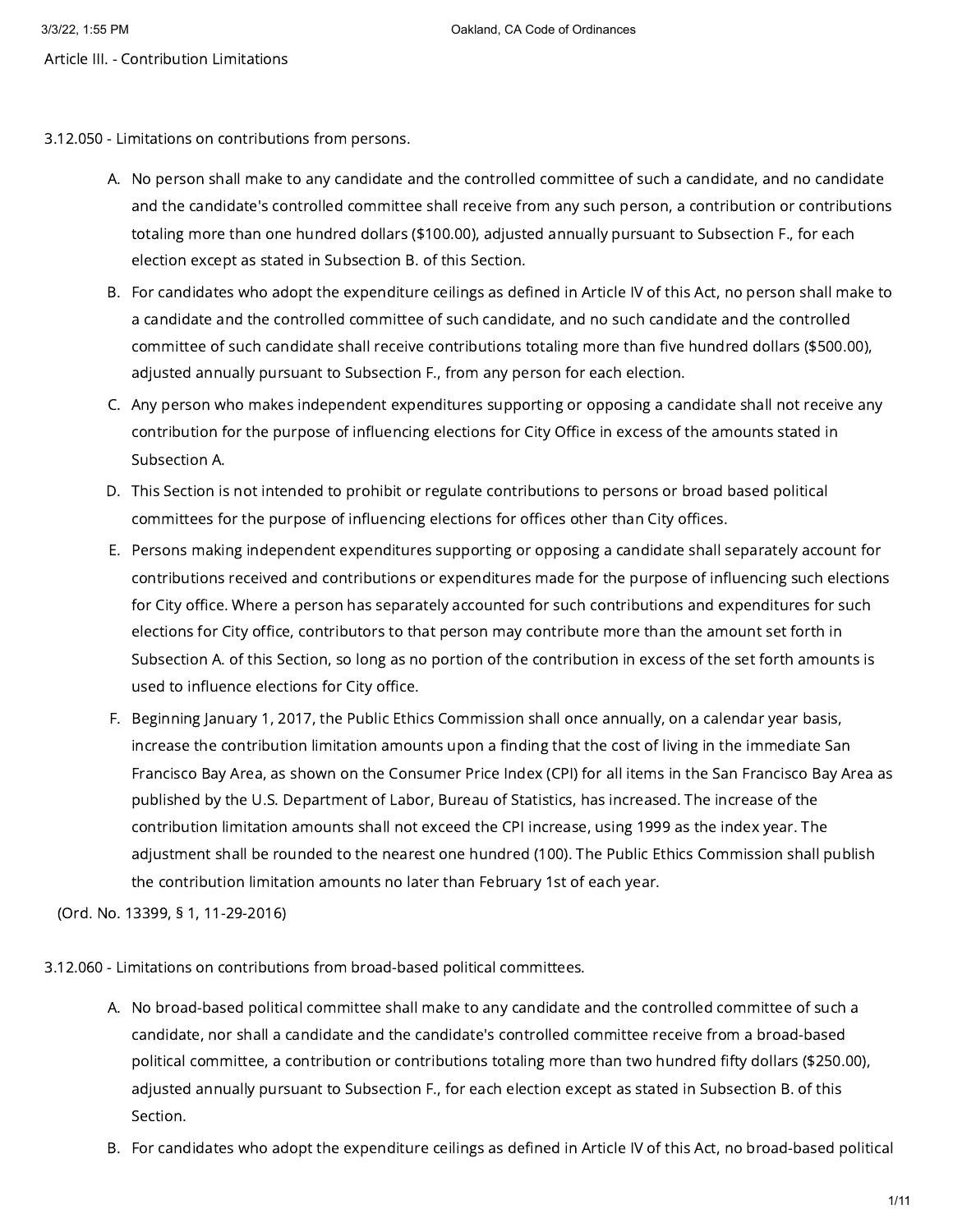- Article III. Contribution Limitations
- 3.12.050 Limitations on contributions from persons.
	- A. No person shall make to any candidate and the controlled committee of such a candidate, and no candidate and the candidate's controlled committee shall receive from any such person, a contribution or contributions totaling more than one hundred dollars (\$100.00), adjusted annually pursuant to Subsection F., for each election except as stated in Subsection B. of this Section.
	- B. For candidates who adopt the expenditure ceilings as defined in Article IV of this Act, no person shall make to a candidate and the controlled committee of such candidate, and no such candidate and the controlled committee of such candidate shall receive contributions totaling more than five hundred dollars (\$500.00), adjusted annually pursuant to Subsection F., from any person for each election.
	- C. Any person who makes independent expenditures supporting or opposing a candidate shall not receive any contribution for the purpose of influencing elections for City Office in excess of the amounts stated in Subsection A.
	- D. This Section is not intended to prohibit or regulate contributions to persons or broad based political committees for the purpose of influencing elections for offices other than City offices.
	- E. Persons making independent expenditures supporting or opposing a candidate shall separately account for contributions received and contributions or expenditures made for the purpose of influencing such elections for City office. Where a person has separately accounted for such contributions and expenditures for such elections for City office, contributors to that person may contribute more than the amount set forth in Subsection A. of this Section, so long as no portion of the contribution in excess of the set forth amounts is used to influence elections for City office.
	- F. Beginning January 1, 2017, the Public Ethics Commission shall once annually, on a calendar year basis, increase the contribution limitation amounts upon a finding that the cost of living in the immediate San Francisco Bay Area, as shown on the Consumer Price Index (CPI) for all items in the San Francisco Bay Area as published by the U.S. Department of Labor, Bureau of Statistics, has increased. The increase of the contribution limitation amounts shall not exceed the CPI increase, using 1999 as the index year. The adjustment shall be rounded to the nearest one hundred (100). The Public Ethics Commission shall publish the contribution limitation amounts no later than February 1st of each year.

(Ord. No. 13399, § 1, 11-29-2016)

3.12.060 - Limitations on contributions from broad-based political committees.

- A. No broad-based political committee shall make to any candidate and the controlled committee of such a candidate, nor shall a candidate and the candidate's controlled committee receive from a broad-based political committee, a contribution or contributions totaling more than two hundred fifty dollars (\$250.00), adjusted annually pursuant to Subsection F., for each election except as stated in Subsection B. of this Section.
- B. For candidates who adopt the expenditure ceilings as defined in Article IV of this Act, no broad-based political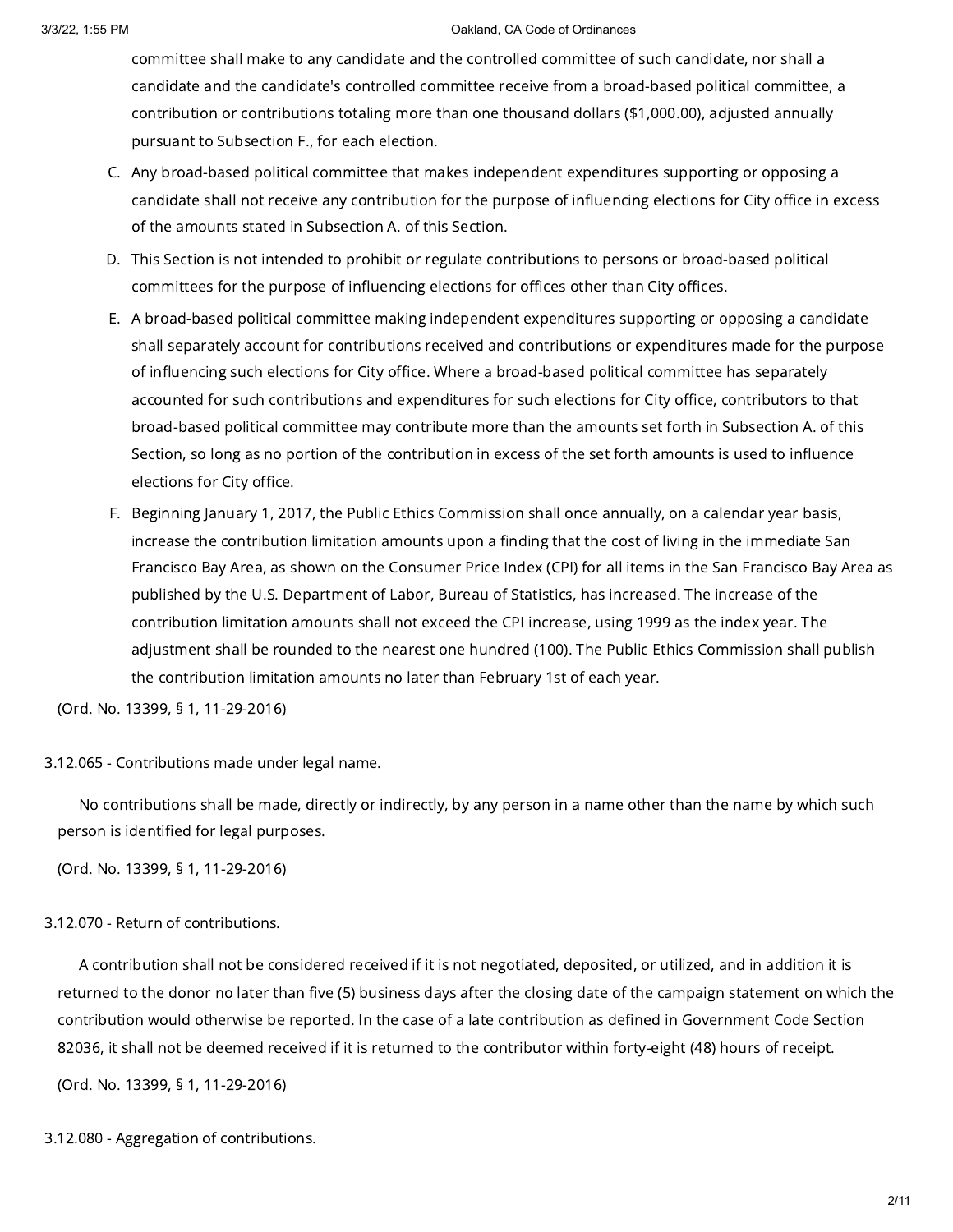committee shall make to any candidate and the controlled committee of such candidate, nor shall a candidate and the candidate's controlled committee receive from a broad-based political committee, a contribution or contributions totaling more than one thousand dollars (\$1,000.00), adjusted annually pursuant to Subsection F., for each election.

- C. Any broad-based political committee that makes independent expenditures supporting or opposing a candidate shall not receive any contribution for the purpose of influencing elections for City office in excess of the amounts stated in Subsection A. of this Section.
- D. This Section is not intended to prohibit or regulate contributions to persons or broad-based political committees for the purpose of influencing elections for offices other than City offices.
- E. A broad-based political committee making independent expenditures supporting or opposing a candidate shall separately account for contributions received and contributions or expenditures made for the purpose of influencing such elections for City office. Where a broad-based political committee has separately accounted for such contributions and expenditures for such elections for City office, contributors to that broad-based political committee may contribute more than the amounts set forth in Subsection A. of this Section, so long as no portion of the contribution in excess of the set forth amounts is used to influence elections for City office.
- F. Beginning January 1, 2017, the Public Ethics Commission shall once annually, on a calendar year basis, increase the contribution limitation amounts upon a finding that the cost of living in the immediate San Francisco Bay Area, as shown on the Consumer Price Index (CPI) for all items in the San Francisco Bay Area as published by the U.S. Department of Labor, Bureau of Statistics, has increased. The increase of the contribution limitation amounts shall not exceed the CPI increase, using 1999 as the index year. The adjustment shall be rounded to the nearest one hundred (100). The Public Ethics Commission shall publish the contribution limitation amounts no later than February 1st of each year.

(Ord. No. 13399, § 1, 11-29-2016)

3.12.065 - Contributions made under legal name.

No contributions shall be made, directly or indirectly, by any person in a name other than the name by which such person is identified for legal purposes.

(Ord. No. 13399, § 1, 11-29-2016)

# 3.12.070 - Return of contributions.

A contribution shall not be considered received if it is not negotiated, deposited, or utilized, and in addition it is returned to the donor no later than five (5) business days after the closing date of the campaign statement on which the contribution would otherwise be reported. In the case of a late contribution as defined in Government Code Section 82036, it shall not be deemed received if it is returned to the contributor within forty-eight (48) hours of receipt.

(Ord. No. 13399, § 1, 11-29-2016)

3.12.080 - Aggregation of contributions.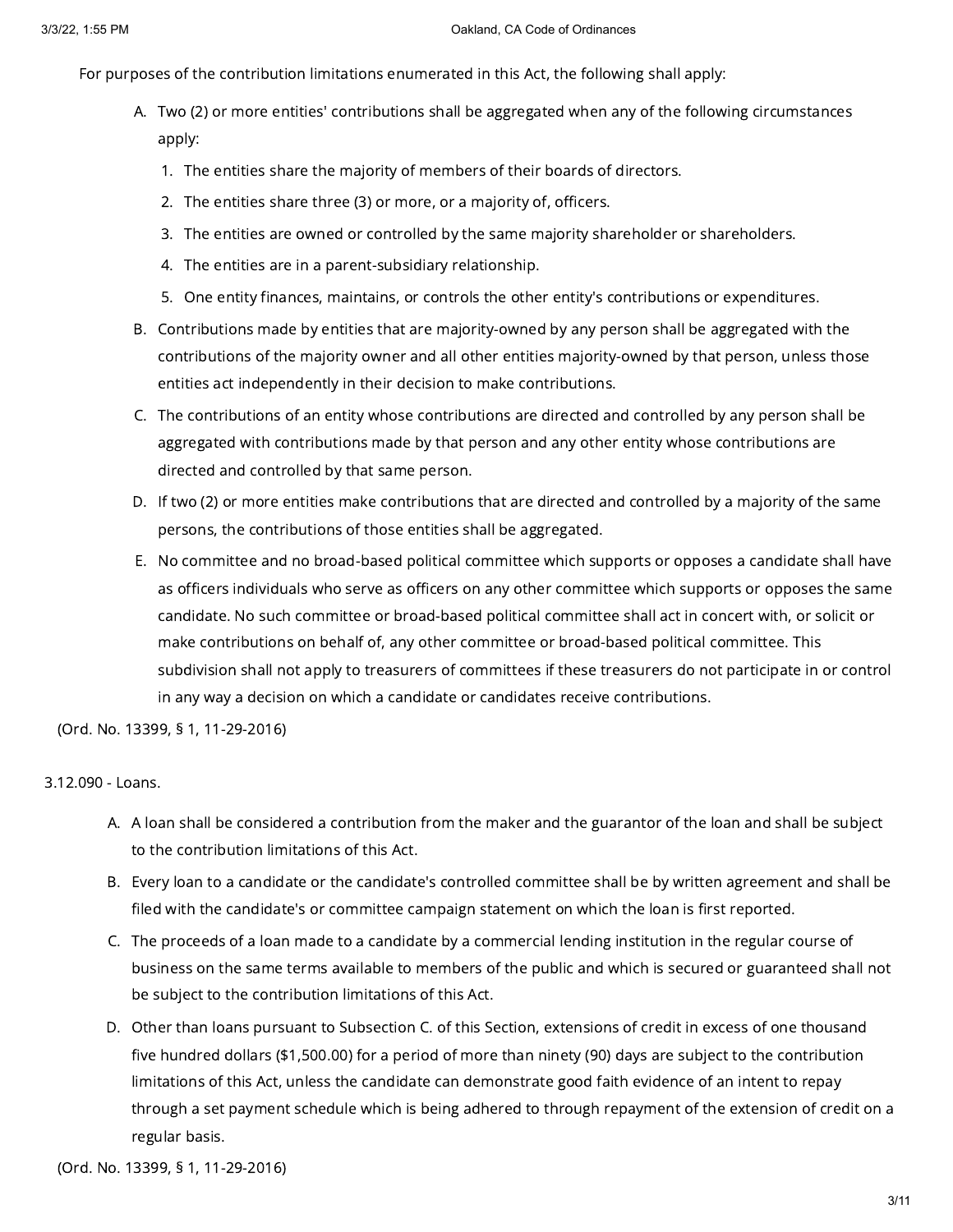For purposes of the contribution limitations enumerated in this Act, the following shall apply:

- A. Two (2) or more entities' contributions shall be aggregated when any of the following circumstances apply:
	- 1. The entities share the majority of members of their boards of directors.
	- 2. The entities share three (3) or more, or a majority of, officers.
	- 3. The entities are owned or controlled by the same majority shareholder or shareholders.
	- 4. The entities are in a parent-subsidiary relationship.
	- 5. One entity finances, maintains, or controls the other entity's contributions or expenditures.
- B. Contributions made by entities that are majority-owned by any person shall be aggregated with the contributions of the majority owner and all other entities majority-owned by that person, unless those entities act independently in their decision to make contributions.
- C. The contributions of an entity whose contributions are directed and controlled by any person shall be aggregated with contributions made by that person and any other entity whose contributions are directed and controlled by that same person.
- D. If two (2) or more entities make contributions that are directed and controlled by a majority of the same persons, the contributions of those entities shall be aggregated.
- E. No committee and no broad-based political committee which supports or opposes a candidate shall have as officers individuals who serve as officers on any other committee which supports or opposes the same candidate. No such committee or broad-based political committee shall act in concert with, or solicit or make contributions on behalf of, any other committee or broad-based political committee. This subdivision shall not apply to treasurers of committees if these treasurers do not participate in or control in any way a decision on which a candidate or candidates receive contributions.

(Ord. No. 13399, § 1, 11-29-2016)

# 3.12.090 - Loans.

- A. A loan shall be considered a contribution from the maker and the guarantor of the loan and shall be subject to the contribution limitations of this Act.
- B. Every loan to a candidate or the candidate's controlled committee shall be by written agreement and shall be filed with the candidate's or committee campaign statement on which the loan is first reported.
- C. The proceeds of a loan made to a candidate by a commercial lending institution in the regular course of business on the same terms available to members of the public and which is secured or guaranteed shall not be subject to the contribution limitations of this Act.
- D. Other than loans pursuant to Subsection C. of this Section, extensions of credit in excess of one thousand five hundred dollars (\$1,500.00) for a period of more than ninety (90) days are subject to the contribution limitations of this Act, unless the candidate can demonstrate good faith evidence of an intent to repay through a set payment schedule which is being adhered to through repayment of the extension of credit on a regular basis.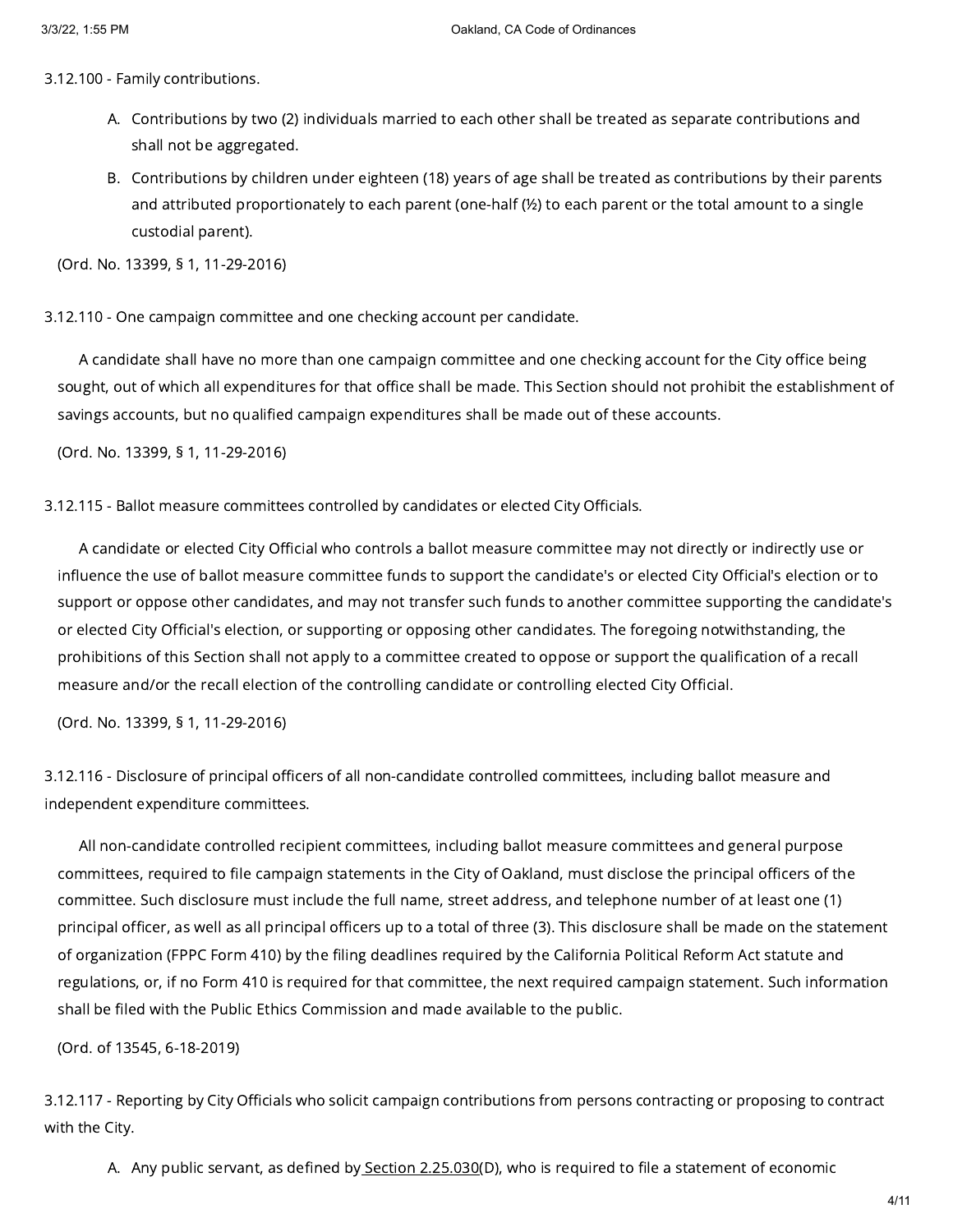3.12.100 - Family contributions.

- A. Contributions by two (2) individuals married to each other shall be treated as separate contributions and shall not be aggregated.
- B. Contributions by children under eighteen (18) years of age shall be treated as contributions by their parents and attributed proportionately to each parent (one-half (½) to each parent or the total amount to a single custodial parent).

(Ord. No. 13399, § 1, 11-29-2016)

3.12.110 - One campaign committee and one checking account per candidate.

A candidate shall have no more than one campaign committee and one checking account for the City office being sought, out of which all expenditures for that office shall be made. This Section should not prohibit the establishment of savings accounts, but no qualified campaign expenditures shall be made out of these accounts.

(Ord. No. 13399, § 1, 11-29-2016)

3.12.115 - Ballot measure committees controlled by candidates or elected City Officials.

A candidate or elected City Official who controls a ballot measure committee may not directly or indirectly use or influence the use of ballot measure committee funds to support the candidate's or elected City Official's election or to support or oppose other candidates, and may not transfer such funds to another committee supporting the candidate's or elected City Official's election, or supporting or opposing other candidates. The foregoing notwithstanding, the prohibitions of this Section shall not apply to a committee created to oppose or support the qualification of a recall measure and/or the recall election of the controlling candidate or controlling elected City Official.

(Ord. No. 13399, § 1, 11-29-2016)

3.12.116 - Disclosure of principal officers of all non-candidate controlled committees, including ballot measure and independent expenditure committees.

All non-candidate controlled recipient committees, including ballot measure committees and general purpose committees, required to file campaign statements in the City of Oakland, must disclose the principal officers of the committee. Such disclosure must include the full name, street address, and telephone number of at least one (1) principal officer, as well as all principal officers up to a total of three (3). This disclosure shall be made on the statement of organization (FPPC Form 410) by the filing deadlines required by the California Political Reform Act statute and regulations, or, if no Form 410 is required for that committee, the next required campaign statement. Such information shall be filed with the Public Ethics Commission and made available to the public.

(Ord. of 13545, 6-18-2019)

3.12.117 - Reporting by City Officials who solicit campaign contributions from persons contracting or proposing to contract with the City.

A. Any public servant, as defined b<u>y Section [2.25.030](https://library.municode.com/)</u>(D), who is required to file a statement of economic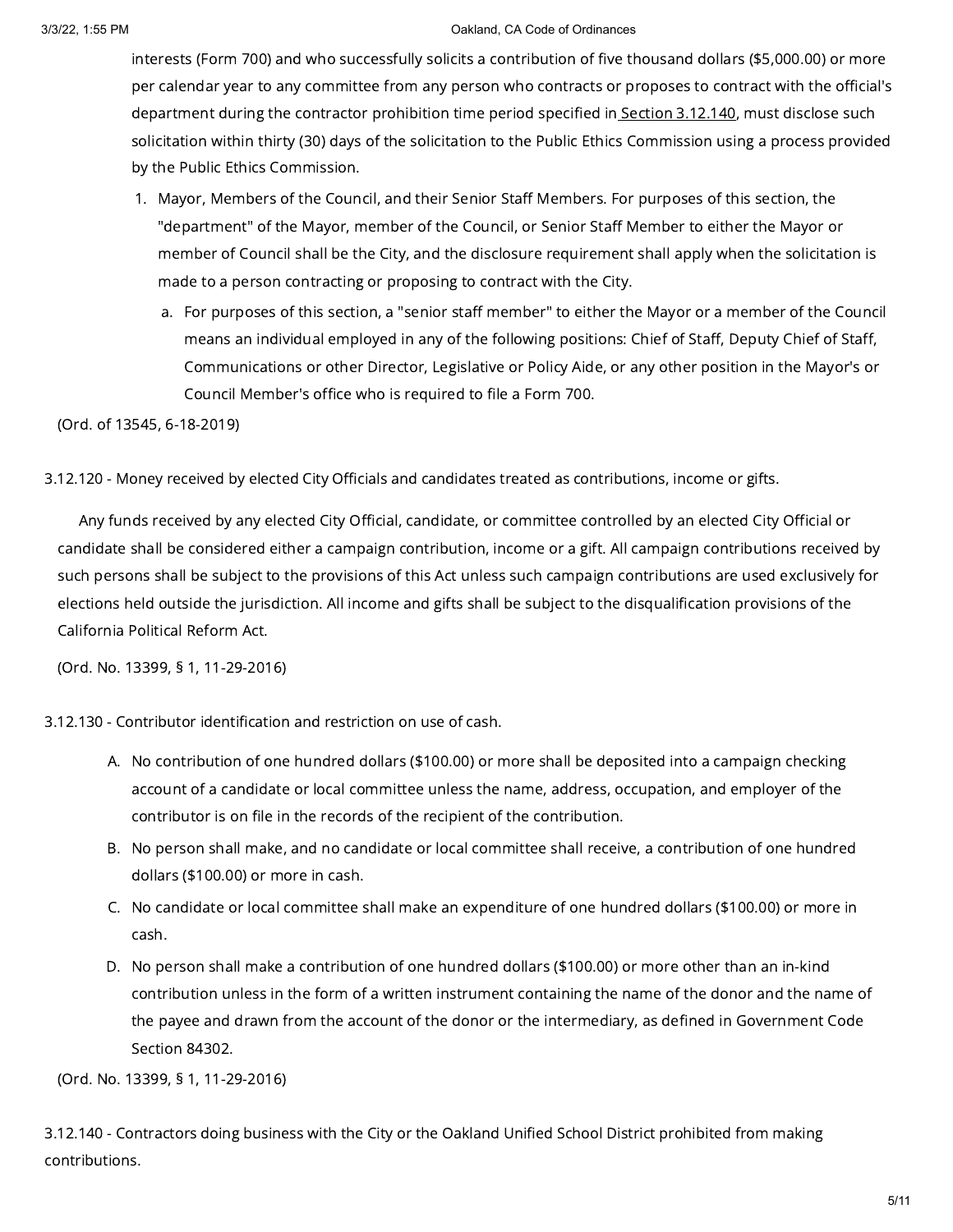interests (Form 700) and who successfully solicits a contribution of five thousand dollars (\$5,000.00) or more per calendar year to any committee from any person who contracts or proposes to contract with the official's department during the contractor prohibition time period specified in Section [3.12.140](https://library.municode.com/), must disclose such solicitation within thirty (30) days of the solicitation to the Public Ethics Commission using a process provided by the Public Ethics Commission.

- 1. Mayor, Members of the Council, and their Senior Staff Members. For purposes of this section, the "department" of the Mayor, member of the Council, or Senior Staff Member to either the Mayor or member of Council shall be the City, and the disclosure requirement shall apply when the solicitation is made to a person contracting or proposing to contract with the City.
	- a. For purposes of this section, a "senior staff member" to either the Mayor or a member of the Council means an individual employed in any of the following positions: Chief of Staff, Deputy Chief of Staff, Communications or other Director, Legislative or Policy Aide, or any other position in the Mayor's or Council Member's office who is required to file a Form 700.

(Ord. of 13545, 6-18-2019)

3.12.120 - Money received by elected City Officials and candidates treated as contributions, income or gifts.

Any funds received by any elected City Official, candidate, or committee controlled by an elected City Official or candidate shall be considered either a campaign contribution, income or a gift. All campaign contributions received by such persons shall be subject to the provisions of this Act unless such campaign contributions are used exclusively for elections held outside the jurisdiction. All income and gifts shall be subject to the disqualification provisions of the California Political Reform Act.

(Ord. No. 13399, § 1, 11-29-2016)

3.12.130 - Contributor identification and restriction on use of cash.

- A. No contribution of one hundred dollars (\$100.00) or more shall be deposited into a campaign checking account of a candidate or local committee unless the name, address, occupation, and employer of the contributor is on file in the records of the recipient of the contribution.
- B. No person shall make, and no candidate or local committee shall receive, a contribution of one hundred dollars (\$100.00) or more in cash.
- C. No candidate or local committee shall make an expenditure of one hundred dollars (\$100.00) or more in cash.
- D. No person shall make a contribution of one hundred dollars (\$100.00) or more other than an in-kind contribution unless in the form of a written instrument containing the name of the donor and the name of the payee and drawn from the account of the donor or the intermediary, as defined in Government Code Section 84302.

(Ord. No. 13399, § 1, 11-29-2016)

3.12.140 - Contractors doing business with the City or the Oakland Unified School District prohibited from making contributions.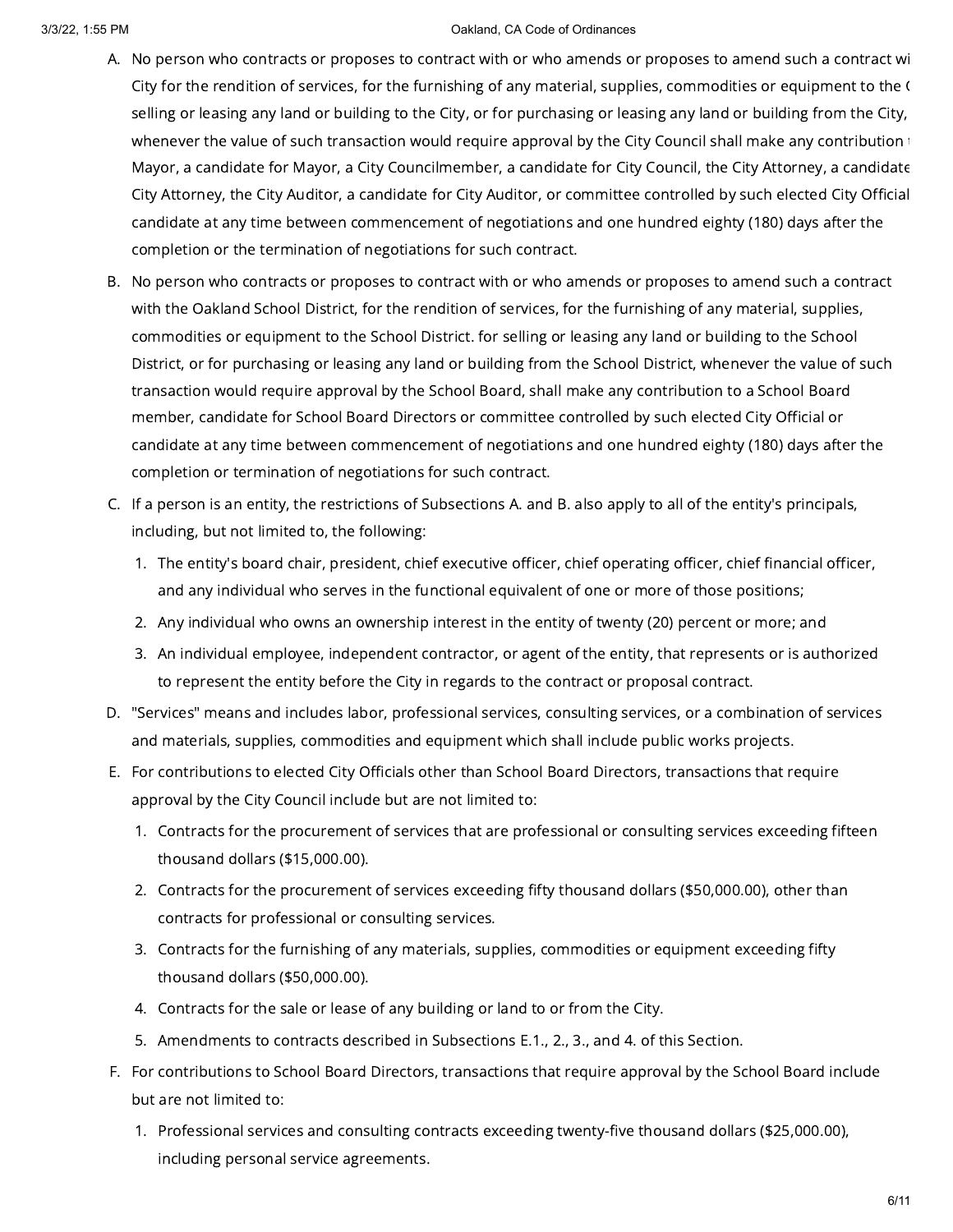- A. No person who contracts or proposes to contract with or who amends or proposes to amend such a contract wi City for the rendition of services, for the furnishing of any material, supplies, commodities or equipment to the C selling or leasing any land or building to the City, or for purchasing or leasing any land or building from the City, whenever the value of such transaction would require approval by the City Council shall make any contribution Mayor, a candidate for Mayor, a City Councilmember, a candidate for City Council, the City Attorney, a candidate City Attorney, the City Auditor, a candidate for City Auditor, or committee controlled by such elected City Official candidate at any time between commencement of negotiations and one hundred eighty (180) days after the completion or the termination of negotiations for such contract.
- B. No person who contracts or proposes to contract with or who amends or proposes to amend such a contract with the Oakland School District, for the rendition of services, for the furnishing of any material, supplies, commodities or equipment to the School District. for selling or leasing any land or building to the School District, or for purchasing or leasing any land or building from the School District, whenever the value of such transaction would require approval by the School Board, shall make any contribution to a School Board member, candidate for School Board Directors or committee controlled by such elected City Official or candidate at any time between commencement of negotiations and one hundred eighty (180) days after the completion or termination of negotiations for such contract.
- C. If a person is an entity, the restrictions of Subsections A. and B. also apply to all of the entity's principals, including, but not limited to, the following:
	- 1. The entity's board chair, president, chief executive officer, chief operating officer, chief financial officer, and any individual who serves in the functional equivalent of one or more of those positions;
	- 2. Any individual who owns an ownership interest in the entity of twenty (20) percent or more; and
	- 3. An individual employee, independent contractor, or agent of the entity, that represents or is authorized to represent the entity before the City in regards to the contract or proposal contract.
- D. "Services" means and includes labor, professional services, consulting services, or a combination of services and materials, supplies, commodities and equipment which shall include public works projects.
- E. For contributions to elected City Officials other than School Board Directors, transactions that require approval by the City Council include but are not limited to:
	- 1. Contracts for the procurement of services that are professional or consulting services exceeding fifteen thousand dollars (\$15,000.00).
	- 2. Contracts for the procurement of services exceeding fifty thousand dollars (\$50,000.00), other than contracts for professional or consulting services.
	- 3. Contracts for the furnishing of any materials, supplies, commodities or equipment exceeding fifty thousand dollars (\$50,000.00).
	- 4. Contracts for the sale or lease of any building or land to or from the City.
	- 5. Amendments to contracts described in Subsections E.1., 2., 3., and 4. of this Section.
- F. For contributions to School Board Directors, transactions that require approval by the School Board include but are not limited to:
	- 1. Professional services and consulting contracts exceeding twenty-five thousand dollars (\$25,000.00), including personal service agreements.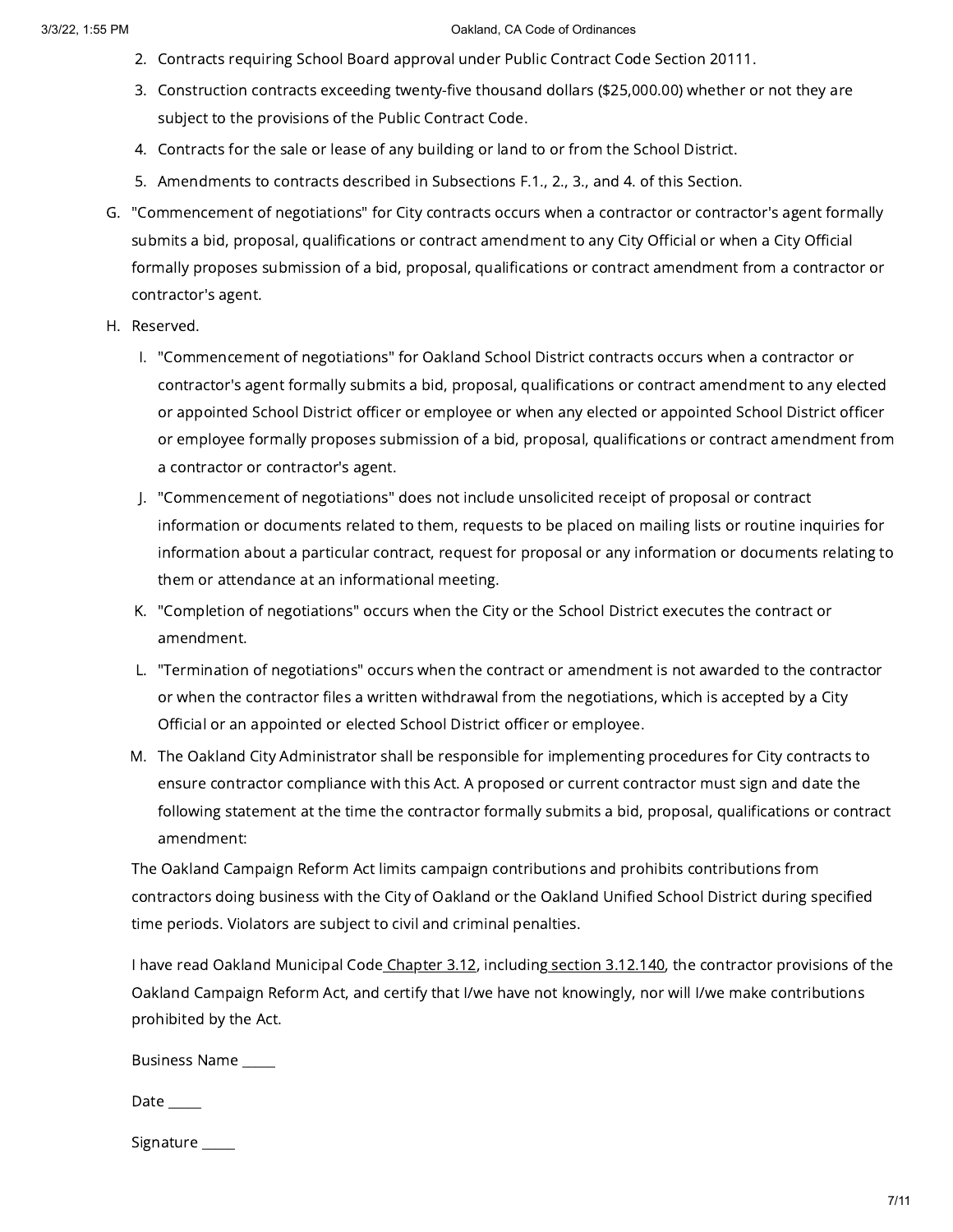- 2. Contracts requiring School Board approval under Public Contract Code Section 20111.
- 3. Construction contracts exceeding twenty-five thousand dollars (\$25,000.00) whether or not they are subject to the provisions of the Public Contract Code.
- 4. Contracts for the sale or lease of any building or land to or from the School District.
- 5. Amendments to contracts described in Subsections F.1., 2., 3., and 4. of this Section.
- G. "Commencement of negotiations" for City contracts occurs when a contractor or contractor's agent formally submits a bid, proposal, qualifications or contract amendment to any City Official or when a City Official formally proposes submission of a bid, proposal, qualifications or contract amendment from a contractor or contractor's agent.
- H. Reserved.
	- I. "Commencement of negotiations" for Oakland School District contracts occurs when a contractor or contractor's agent formally submits a bid, proposal, qualifications or contract amendment to any elected or appointed School District officer or employee or when any elected or appointed School District officer or employee formally proposes submission of a bid, proposal, qualifications or contract amendment from a contractor or contractor's agent.
	- J. "Commencement of negotiations" does not include unsolicited receipt of proposal or contract information or documents related to them, requests to be placed on mailing lists or routine inquiries for information about a particular contract, request for proposal or any information or documents relating to them or attendance at an informational meeting.
	- K. "Completion of negotiations" occurs when the City or the School District executes the contract or amendment.
	- L. "Termination of negotiations" occurs when the contract or amendment is not awarded to the contractor or when the contractor files a written withdrawal from the negotiations, which is accepted by a City Official or an appointed or elected School District officer or employee.
	- M. The Oakland City Administrator shall be responsible for implementing procedures for City contracts to ensure contractor compliance with this Act. A proposed or current contractor must sign and date the following statement at the time the contractor formally submits a bid, proposal, qualifications or contract amendment:

The Oakland Campaign Reform Act limits campaign contributions and prohibits contributions from contractors doing business with the City of Oakland or the Oakland Unified School District during specified time periods. Violators are subject to civil and criminal penalties.

I have read Oakland Municipal Code [Chapter](https://library.municode.com/) 3.12, including section [3.12.140](https://library.municode.com/), the contractor provisions of the Oakland Campaign Reform Act, and certify that I/we have not knowingly, nor will I/we make contributions prohibited by the Act.

Business Name \_\_\_\_\_

|--|--|

Signature \_\_\_\_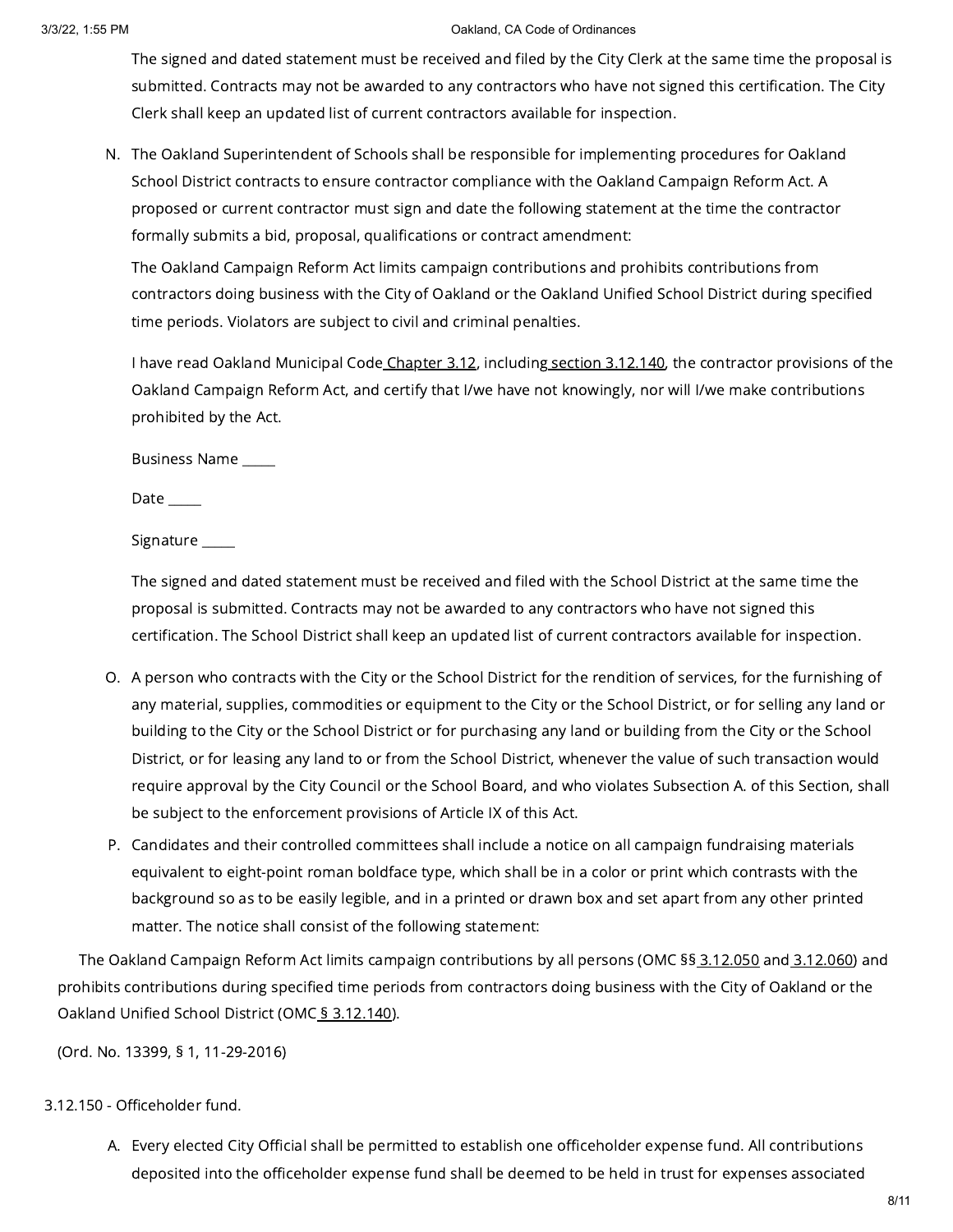The signed and dated statement must be received and filed by the City Clerk at the same time the proposal is submitted. Contracts may not be awarded to any contractors who have not signed this certification. The City Clerk shall keep an updated list of current contractors available for inspection.

N. The Oakland Superintendent of Schools shall be responsible for implementing procedures for Oakland School District contracts to ensure contractor compliance with the Oakland Campaign Reform Act. A proposed or current contractor must sign and date the following statement at the time the contractor formally submits a bid, proposal, qualifications or contract amendment:

The Oakland Campaign Reform Act limits campaign contributions and prohibits contributions from contractors doing business with the City of Oakland or the Oakland Unified School District during specified time periods. Violators are subject to civil and criminal penalties.

I have read Oakland Municipal Code [Chapter](https://library.municode.com/) 3.12, including section [3.12.140](https://library.municode.com/), the contractor provisions of the Oakland Campaign Reform Act, and certify that I/we have not knowingly, nor will I/we make contributions prohibited by the Act.

Business Name \_\_\_\_\_

Date  $\_\_\_\_\_\_\$ 

Signature \_\_\_\_\_\_

The signed and dated statement must be received and filed with the School District at the same time the proposal is submitted. Contracts may not be awarded to any contractors who have not signed this certification. The School District shall keep an updated list of current contractors available for inspection.

- O. A person who contracts with the City or the School District for the rendition of services, for the furnishing of any material, supplies, commodities or equipment to the City or the School District, or for selling any land or building to the City or the School District or for purchasing any land or building from the City or the School District, or for leasing any land to or from the School District, whenever the value of such transaction would require approval by the City Council or the School Board, and who violates Subsection A. of this Section, shall be subject to the enforcement provisions of Article IX of this Act.
- P. Candidates and their controlled committees shall include a notice on all campaign fundraising materials equivalent to eight-point roman boldface type, which shall be in a color or print which contrasts with the background so as to be easily legible, and in a printed or drawn box and set apart from any other printed matter. The notice shall consist of the following statement:

The Oakland Campaign Reform Act limits campaign contributions by all persons (OMC §§ [3.12.050](https://library.municode.com/) and [3.12.060\)](https://library.municode.com/) and prohibits contributions during specified time periods from contractors doing business with the City of Oakland or the Oakland Unified School District (OMC § [3.12.140\)](https://library.municode.com/).

(Ord. No. 13399, § 1, 11-29-2016)

# 3.12.150 - Officeholder fund.

A. Every elected City Official shall be permitted to establish one officeholder expense fund. All contributions deposited into the officeholder expense fund shall be deemed to be held in trust for expenses associated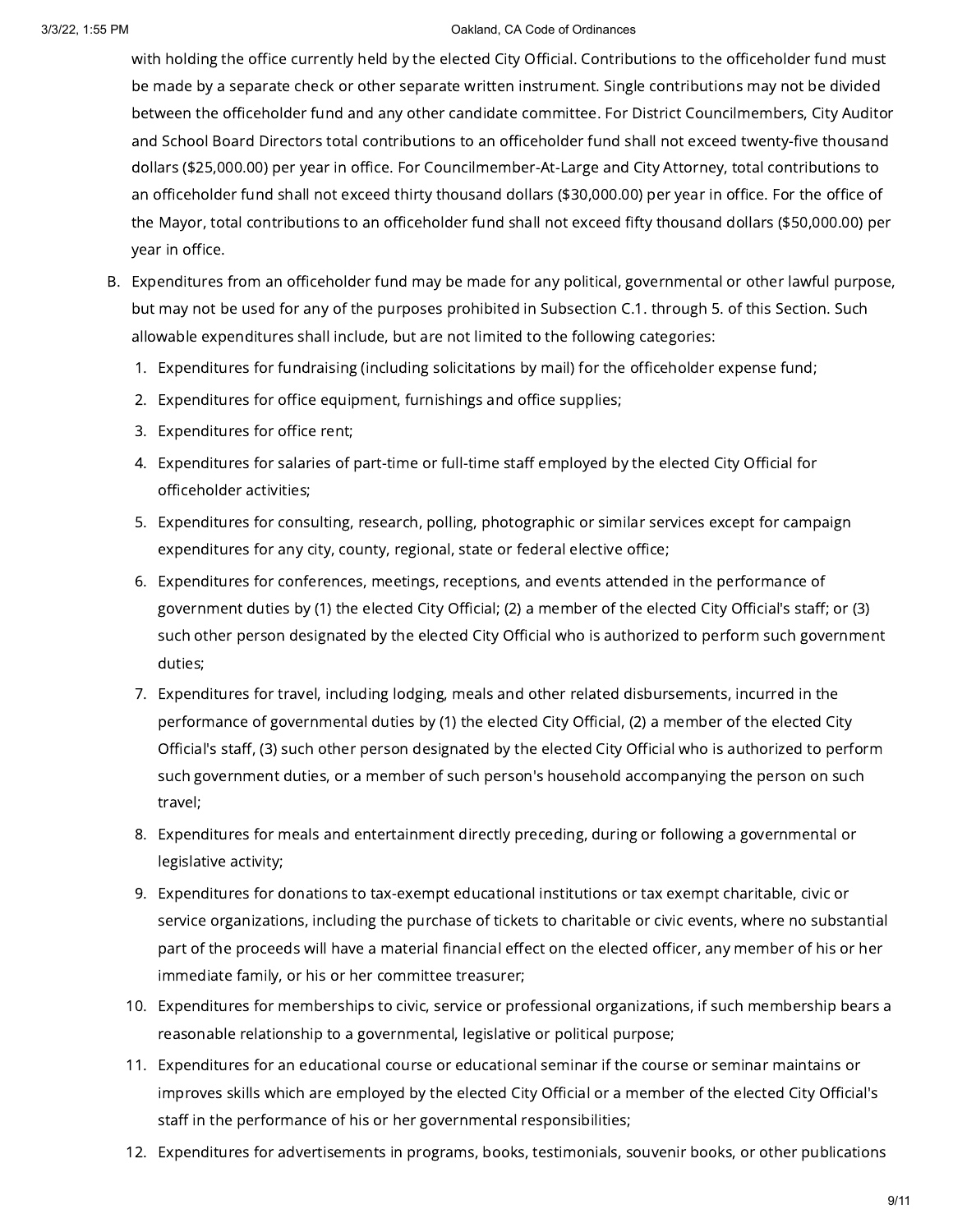with holding the office currently held by the elected City Official. Contributions to the officeholder fund must be made by a separate check or other separate written instrument. Single contributions may not be divided between the officeholder fund and any other candidate committee. For District Councilmembers, City Auditor and School Board Directors total contributions to an officeholder fund shall not exceed twenty-five thousand dollars (\$25,000.00) per year in office. For Councilmember-At-Large and City Attorney, total contributions to an officeholder fund shall not exceed thirty thousand dollars (\$30,000.00) per year in office. For the office of the Mayor, total contributions to an officeholder fund shall not exceed fifty thousand dollars (\$50,000.00) per year in office.

- B. Expenditures from an officeholder fund may be made for any political, governmental or other lawful purpose, but may not be used for any of the purposes prohibited in Subsection C.1. through 5. of this Section. Such allowable expenditures shall include, but are not limited to the following categories:
	- 1. Expenditures for fundraising (including solicitations by mail) for the officeholder expense fund;
	- 2. Expenditures for office equipment, furnishings and office supplies;
	- 3. Expenditures for office rent;
	- 4. Expenditures for salaries of part-time or full-time staff employed by the elected City Official for officeholder activities;
	- 5. Expenditures for consulting, research, polling, photographic or similar services except for campaign expenditures for any city, county, regional, state or federal elective office;
	- 6. Expenditures for conferences, meetings, receptions, and events attended in the performance of government duties by (1) the elected City Official; (2) a member of the elected City Official's staff; or (3) such other person designated by the elected City Official who is authorized to perform such government duties;
	- 7. Expenditures for travel, including lodging, meals and other related disbursements, incurred in the performance of governmental duties by (1) the elected City Official, (2) a member of the elected City Official's staff, (3) such other person designated by the elected City Official who is authorized to perform such government duties, or a member of such person's household accompanying the person on such travel;
	- 8. Expenditures for meals and entertainment directly preceding, during or following a governmental or legislative activity;
	- 9. Expenditures for donations to tax-exempt educational institutions or tax exempt charitable, civic or service organizations, including the purchase of tickets to charitable or civic events, where no substantial part of the proceeds will have a material financial effect on the elected officer, any member of his or her immediate family, or his or her committee treasurer;
	- 10. Expenditures for memberships to civic, service or professional organizations, if such membership bears a reasonable relationship to a governmental, legislative or political purpose;
	- 11. Expenditures for an educational course or educational seminar if the course or seminar maintains or improves skills which are employed by the elected City Official or a member of the elected City Official's staff in the performance of his or her governmental responsibilities;
	- 12. Expenditures for advertisements in programs, books, testimonials, souvenir books, or other publications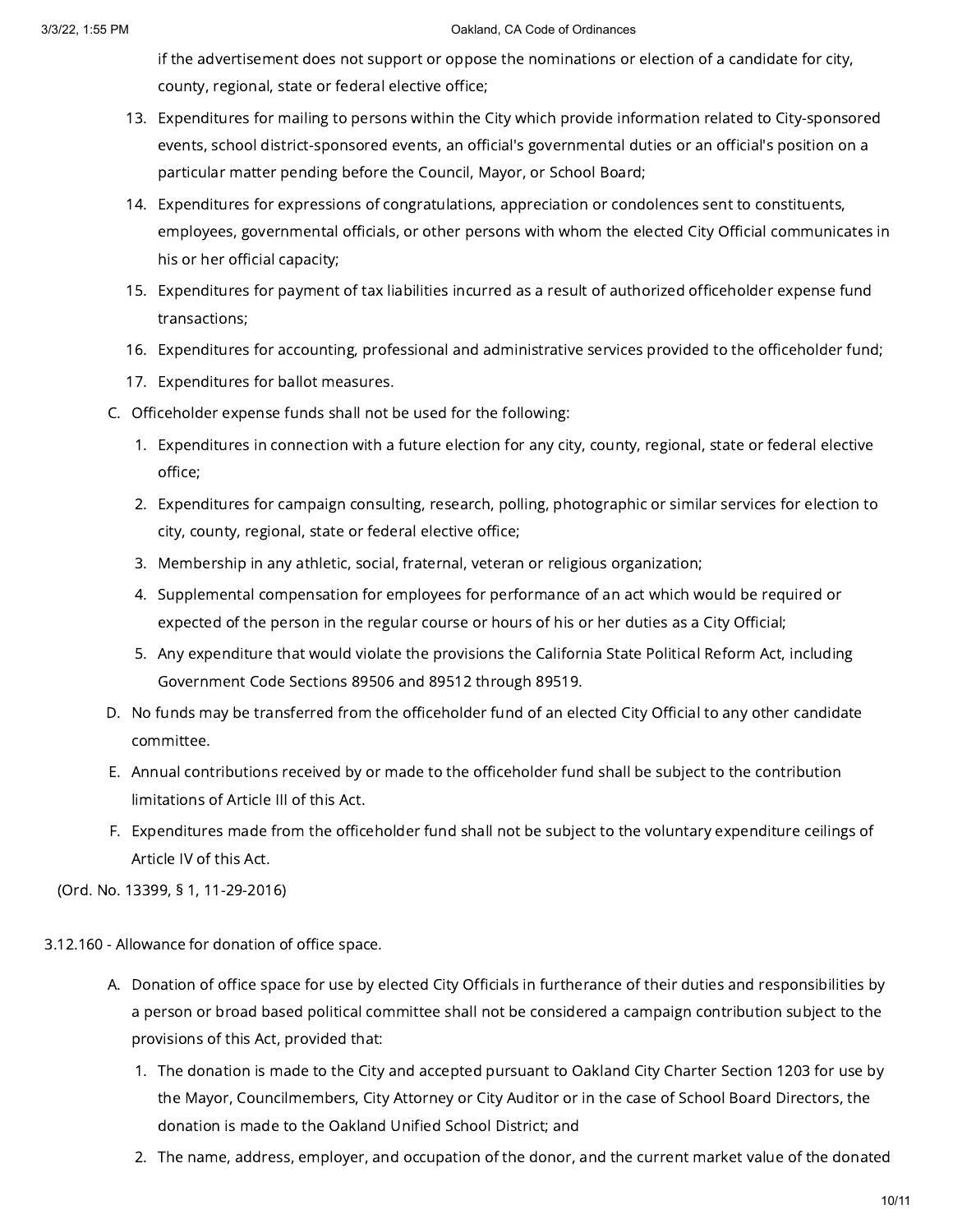if the advertisement does not support or oppose the nominations or election of a candidate for city, county, regional, state or federal elective office;

- 13. Expenditures for mailing to persons within the City which provide information related to City-sponsored events, school district-sponsored events, an official's governmental duties or an official's position on a particular matter pending before the Council, Mayor, or School Board;
- 14. Expenditures for expressions of congratulations, appreciation or condolences sent to constituents, employees, governmental officials, or other persons with whom the elected City Official communicates in his or her official capacity;
- 15. Expenditures for payment of tax liabilities incurred as a result of authorized officeholder expense fund transactions;
- 16. Expenditures for accounting, professional and administrative services provided to the officeholder fund;
- 17. Expenditures for ballot measures.
- C. Officeholder expense funds shall not be used for the following:
	- 1. Expenditures in connection with a future election for any city, county, regional, state or federal elective office;
	- 2. Expenditures for campaign consulting, research, polling, photographic or similar services for election to city, county, regional, state or federal elective office;
	- 3. Membership in any athletic, social, fraternal, veteran or religious organization;
	- 4. Supplemental compensation for employees for performance of an act which would be required or expected of the person in the regular course or hours of his or her duties as a City Official;
	- 5. Any expenditure that would violate the provisions the California State Political Reform Act, including Government Code Sections 89506 and 89512 through 89519.
- D. No funds may be transferred from the officeholder fund of an elected City Official to any other candidate committee.
- E. Annual contributions received by or made to the officeholder fund shall be subject to the contribution limitations of Article III of this Act.
- F. Expenditures made from the officeholder fund shall not be subject to the voluntary expenditure ceilings of Article IV of this Act.

(Ord. No. 13399, § 1, 11-29-2016)

3.12.160 - Allowance for donation of office space.

- A. Donation of office space for use by elected City Officials in furtherance of their duties and responsibilities by a person or broad based political committee shall not be considered a campaign contribution subject to the provisions of this Act, provided that:
	- 1. The donation is made to the City and accepted pursuant to Oakland City Charter Section 1203 for use by the Mayor, Councilmembers, City Attorney or City Auditor or in the case of School Board Directors, the donation is made to the Oakland Unified School District; and
	- 2. The name, address, employer, and occupation of the donor, and the current market value of the donated